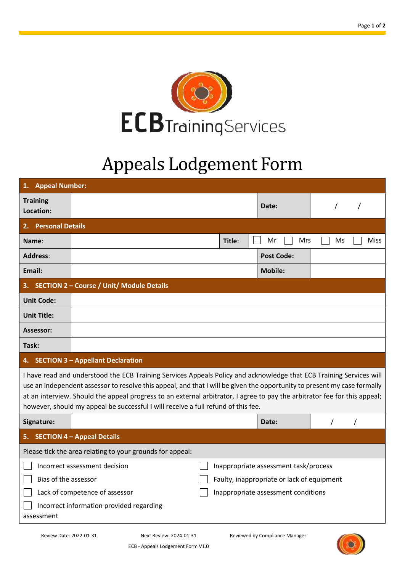

## Appeals Lodgement Form

| 1.                                                                                                                                                                                                                                                                                                                                                                                                                                                                | <b>Appeal Number:</b>                                                  |        |  |                   |    |             |  |  |
|-------------------------------------------------------------------------------------------------------------------------------------------------------------------------------------------------------------------------------------------------------------------------------------------------------------------------------------------------------------------------------------------------------------------------------------------------------------------|------------------------------------------------------------------------|--------|--|-------------------|----|-------------|--|--|
| <b>Training</b><br>Location:                                                                                                                                                                                                                                                                                                                                                                                                                                      |                                                                        |        |  | Date:             |    |             |  |  |
| <b>Personal Details</b><br>2.1                                                                                                                                                                                                                                                                                                                                                                                                                                    |                                                                        |        |  |                   |    |             |  |  |
| Name:                                                                                                                                                                                                                                                                                                                                                                                                                                                             |                                                                        | Title: |  | Mr<br>Mrs         | Ms | <b>Miss</b> |  |  |
| <b>Address:</b>                                                                                                                                                                                                                                                                                                                                                                                                                                                   |                                                                        |        |  | <b>Post Code:</b> |    |             |  |  |
| Email:                                                                                                                                                                                                                                                                                                                                                                                                                                                            |                                                                        |        |  | <b>Mobile:</b>    |    |             |  |  |
|                                                                                                                                                                                                                                                                                                                                                                                                                                                                   | 3. SECTION 2 - Course / Unit/ Module Details                           |        |  |                   |    |             |  |  |
| <b>Unit Code:</b>                                                                                                                                                                                                                                                                                                                                                                                                                                                 |                                                                        |        |  |                   |    |             |  |  |
| <b>Unit Title:</b>                                                                                                                                                                                                                                                                                                                                                                                                                                                |                                                                        |        |  |                   |    |             |  |  |
| Assessor:                                                                                                                                                                                                                                                                                                                                                                                                                                                         |                                                                        |        |  |                   |    |             |  |  |
| Task:                                                                                                                                                                                                                                                                                                                                                                                                                                                             |                                                                        |        |  |                   |    |             |  |  |
|                                                                                                                                                                                                                                                                                                                                                                                                                                                                   | 4. SECTION 3 - Appellant Declaration                                   |        |  |                   |    |             |  |  |
| I have read and understood the ECB Training Services Appeals Policy and acknowledge that ECB Training Services will<br>use an independent assessor to resolve this appeal, and that I will be given the opportunity to present my case formally<br>at an interview. Should the appeal progress to an external arbitrator, I agree to pay the arbitrator fee for this appeal;<br>however, should my appeal be successful I will receive a full refund of this fee. |                                                                        |        |  |                   |    |             |  |  |
| Signature:                                                                                                                                                                                                                                                                                                                                                                                                                                                        |                                                                        |        |  | Date:             |    |             |  |  |
| 5.                                                                                                                                                                                                                                                                                                                                                                                                                                                                | <b>SECTION 4 - Appeal Details</b>                                      |        |  |                   |    |             |  |  |
| Please tick the area relating to your grounds for appeal:                                                                                                                                                                                                                                                                                                                                                                                                         |                                                                        |        |  |                   |    |             |  |  |
|                                                                                                                                                                                                                                                                                                                                                                                                                                                                   | Incorrect assessment decision<br>Inappropriate assessment task/process |        |  |                   |    |             |  |  |
| Bias of the assessor                                                                                                                                                                                                                                                                                                                                                                                                                                              | Faulty, inappropriate or lack of equipment                             |        |  |                   |    |             |  |  |
|                                                                                                                                                                                                                                                                                                                                                                                                                                                                   | Lack of competence of assessor<br>Inappropriate assessment conditions  |        |  |                   |    |             |  |  |
| Incorrect information provided regarding<br>assessment                                                                                                                                                                                                                                                                                                                                                                                                            |                                                                        |        |  |                   |    |             |  |  |